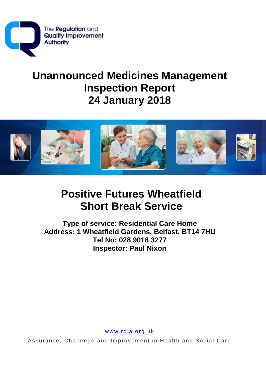

# **Unannounced Medicines Management Inspection Report 24 January 2018**



# **Positive Futures Wheatfield Short Break Service**

**Type of service: Residential Care Home** Address: 1 Wheatfield Gardens, Belfast, BT14 7HU Tel No: 028 9018 3277 **Inspector: Paul Nixon** 

www.rqia.org.uk

Assurance, Challenge and Improvement in Health and Social Care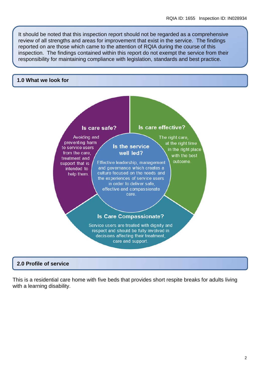It should be noted that this inspection report should not be regarded as a comprehensive review of all strengths and areas for improvement that exist in the service. The findings reported on are those which came to the attention of RQIA during the course of this inspection. The findings contained within this report do not exempt the service from their responsibility for maintaining compliance with legislation, standards and best practice.

#### **1.0 What we look for**



### **2.0 Profile of service**

This is a residential care home with five beds that provides short respite breaks for adults living with a learning disability.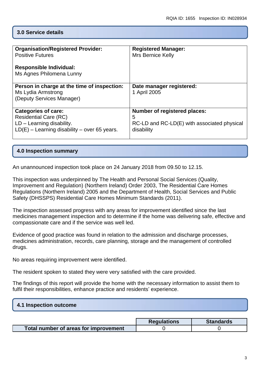# **3.0 Service details**

| <b>Organisation/Registered Provider:</b><br><b>Positive Futures</b><br><b>Responsible Individual:</b>                                       | <b>Registered Manager:</b><br><b>Mrs Bernice Kelly</b>                                                |
|---------------------------------------------------------------------------------------------------------------------------------------------|-------------------------------------------------------------------------------------------------------|
| Ms Agnes Philomena Lunny                                                                                                                    |                                                                                                       |
| Person in charge at the time of inspection:<br>Ms Lydia Armstrong<br>(Deputy Services Manager)                                              | Date manager registered:<br>1 April 2005                                                              |
| <b>Categories of care:</b><br><b>Residential Care (RC)</b><br>$LD - Learning$ disability.<br>$LD(E)$ – Learning disability – over 65 years. | <b>Number of registered places:</b><br>5<br>RC-LD and RC-LD(E) with associated physical<br>disability |

# **4.0 Inspection summary**

An unannounced inspection took place on 24 January 2018 from 09.50 to 12.15.

This inspection was underpinned by The Health and Personal Social Services (Quality, Improvement and Regulation) (Northern Ireland) Order 2003, The Residential Care Homes Regulations (Northern Ireland) 2005 and the Department of Health, Social Services and Public Safety (DHSSPS) Residential Care Homes Minimum Standards (2011).

The inspection assessed progress with any areas for improvement identified since the last medicines management inspection and to determine if the home was delivering safe, effective and compassionate care and if the service was well led.

Evidence of good practice was found in relation to the admission and discharge processes, medicines administration, records, care planning, storage and the management of controlled drugs.

No areas requiring improvement were identified.

The resident spoken to stated they were very satisfied with the care provided.

The findings of this report will provide the home with the necessary information to assist them to fulfil their responsibilities, enhance practice and residents' experience.

#### **4.1 Inspection outcome**

|                                       | <b>Regulations</b> | <b>Standards</b> |
|---------------------------------------|--------------------|------------------|
| Total number of areas for improvement |                    |                  |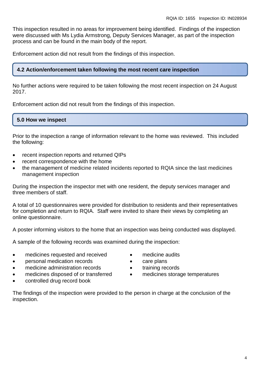This inspection resulted in no areas for improvement being identified. Findings of the inspection were discussed with Ms Lydia Armstrong, Deputy Services Manager, as part of the inspection process and can be found in the main body of the report.

Enforcement action did not result from the findings of this inspection.

# **4.2 Action/enforcement taken following the most recent care inspection**

No further actions were required to be taken following the most recent inspection on 24 August 2017.

Enforcement action did not result from the findings of this inspection.

#### **5.0 How we inspect**

Prior to the inspection a range of information relevant to the home was reviewed. This included the following:

- recent inspection reports and returned QIPs
- recent correspondence with the home
- the management of medicine related incidents reported to RQIA since the last medicines management inspection

During the inspection the inspector met with one resident, the deputy services manager and three members of staff.

A total of 10 questionnaires were provided for distribution to residents and their representatives for completion and return to RQIA. Staff were invited to share their views by completing an online questionnaire.

A poster informing visitors to the home that an inspection was being conducted was displayed.

A sample of the following records was examined during the inspection:

- medicines requested and received
- personal medication records
- medicine administration records
- medicines disposed of or transferred
- controlled drug record book
- medicine audits
- care plans
- training records
- medicines storage temperatures

The findings of the inspection were provided to the person in charge at the conclusion of the inspection.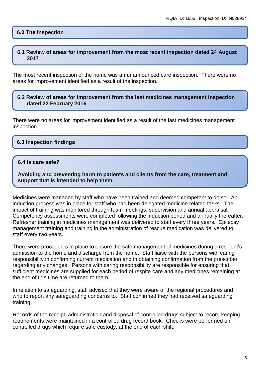#### **6.0 The inspection**

#### **6.1 Review of areas for improvement from the most recent inspection dated 24 August 2017**

The most recent inspection of the home was an unannounced care inspection. There were no areas for improvement identified as a result of the inspection.

#### **6.2 Review of areas for improvement from the last medicines management inspection dated 22 February 2016**

There were no areas for improvement identified as a result of the last medicines management inspection.

#### **6.3 Inspection findings**

#### **6.4 Is care safe?**

**Avoiding and preventing harm to patients and clients from the care, treatment and support that is intended to help them.**

Medicines were managed by staff who have been trained and deemed competent to do so. An induction process was in place for staff who had been delegated medicine related tasks. The impact of training was monitored through team meetings, supervision and annual appraisal. Competency assessments were completed following the induction period and annually thereafter. Refresher training in medicines management was delivered to staff every three years. Epilepsy management training and training in the administration of rescue medication was delivered to staff every two years.

There were procedures in place to ensure the safe management of medicines during a resident's admission to the home and discharge from the home. Staff liaise with the persons with caring responsibility in confirming current medication and in obtaining confirmation from the prescriber regarding any changes. Persons with caring responsibility are responsible for ensuring that sufficient medicines are supplied for each period of respite care and any medicines remaining at the end of this time are returned to them.

In relation to safeguarding, staff advised that they were aware of the regional procedures and who to report any safeguarding concerns to. Staff confirmed they had received safeguarding training.

Records of the receipt, administration and disposal of controlled drugs subject to record keeping requirements were maintained in a controlled drug record book. Checks were performed on controlled drugs which require safe custody, at the end of each shift.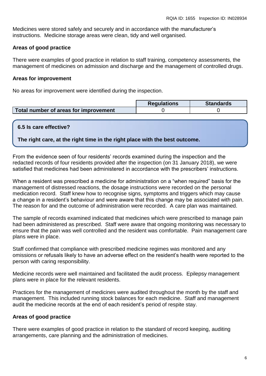Medicines were stored safely and securely and in accordance with the manufacturer's instructions. Medicine storage areas were clean, tidy and well organised.

#### **Areas of good practice**

There were examples of good practice in relation to staff training, competency assessments, the management of medicines on admission and discharge and the management of controlled drugs.

#### **Areas for improvement**

No areas for improvement were identified during the inspection.

|                                       | <b>Regulations</b> | <b>Standards</b> |
|---------------------------------------|--------------------|------------------|
| Total number of areas for improvement |                    |                  |

#### **6.5 Is care effective?**

**The right care, at the right time in the right place with the best outcome.**

From the evidence seen of four residents' records examined during the inspection and the redacted records of four residents provided after the inspection (on 31 January 2018), we were satisfied that medicines had been administered in accordance with the prescribers' instructions.

When a resident was prescribed a medicine for administration on a "when required" basis for the management of distressed reactions, the dosage instructions were recorded on the personal medication record. Staff knew how to recognise signs, symptoms and triggers which may cause a change in a resident's behaviour and were aware that this change may be associated with pain. The reason for and the outcome of administration were recorded. A care plan was maintained.

The sample of records examined indicated that medicines which were prescribed to manage pain had been administered as prescribed. Staff were aware that ongoing monitoring was necessary to ensure that the pain was well controlled and the resident was comfortable. Pain management care plans were in place.

Staff confirmed that compliance with prescribed medicine regimes was monitored and any omissions or refusals likely to have an adverse effect on the resident's health were reported to the person with caring responsibility.

Medicine records were well maintained and facilitated the audit process. Epilepsy management plans were in place for the relevant residents.

Practices for the management of medicines were audited throughout the month by the staff and management. This included running stock balances for each medicine. Staff and management audit the medicine records at the end of each resident's period of respite stay.

#### **Areas of good practice**

There were examples of good practice in relation to the standard of record keeping, auditing arrangements, care planning and the administration of medicines.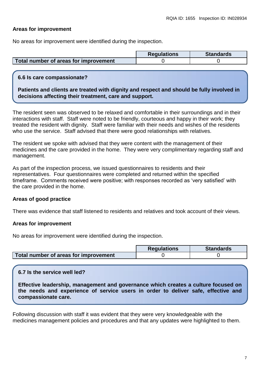### **Areas for improvement**

No areas for improvement were identified during the inspection.

|                                       | <b>Requlations</b> | <b>Standards</b> |
|---------------------------------------|--------------------|------------------|
| Total number of areas for improvement |                    |                  |

#### **6.6 Is care compassionate?**

**Patients and clients are treated with dignity and respect and should be fully involved in decisions affecting their treatment, care and support.**

The resident seen was observed to be relaxed and comfortable in their surroundings and in their interactions with staff. Staff were noted to be friendly, courteous and happy in their work; they treated the resident with dignity. Staff were familiar with their needs and wishes of the residents who use the service. Staff advised that there were good relationships with relatives.

The resident we spoke with advised that they were content with the management of their medicines and the care provided in the home. They were very complimentary regarding staff and management.

As part of the inspection process, we issued questionnaires to residents and their representatives. Four questionnaires were completed and returned within the specified timeframe. Comments received were positive; with responses recorded as 'very satisfied' with the care provided in the home.

#### **Areas of good practice**

There was evidence that staff listened to residents and relatives and took account of their views.

#### **Areas for improvement**

No areas for improvement were identified during the inspection.

|                                       | <b>Requlations</b> | <b>Standards</b> |
|---------------------------------------|--------------------|------------------|
| Total number of areas for improvement |                    |                  |

# **6.7 Is the service well led?**

**Effective leadership, management and governance which creates a culture focused on the needs and experience of service users in order to deliver safe, effective and compassionate care.**

Following discussion with staff it was evident that they were very knowledgeable with the medicines management policies and procedures and that any updates were highlighted to them.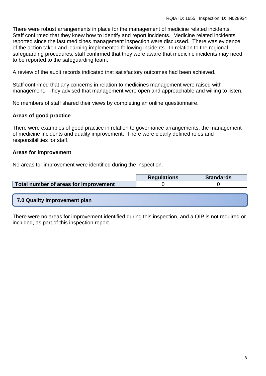There were robust arrangements in place for the management of medicine related incidents. Staff confirmed that they knew how to identify and report incidents. Medicine related incidents reported since the last medicines management inspection were discussed. There was evidence of the action taken and learning implemented following incidents. In relation to the regional safeguarding procedures, staff confirmed that they were aware that medicine incidents may need to be reported to the safeguarding team.

A review of the audit records indicated that satisfactory outcomes had been achieved.

Staff confirmed that any concerns in relation to medicines management were raised with management. They advised that management were open and approachable and willing to listen.

No members of staff shared their views by completing an online questionnaire.

# **Areas of good practice**

There were examples of good practice in relation to governance arrangements, the management of medicine incidents and quality improvement. There were clearly defined roles and responsibilities for staff.

#### **Areas for improvement**

No areas for improvement were identified during the inspection.

|                                       | <b>Regulations</b> | <b>Standards</b> |
|---------------------------------------|--------------------|------------------|
| Total number of areas for improvement |                    |                  |

#### **7.0 Quality improvement plan**

There were no areas for improvement identified during this inspection, and a QIP is not required or included, as part of this inspection report.